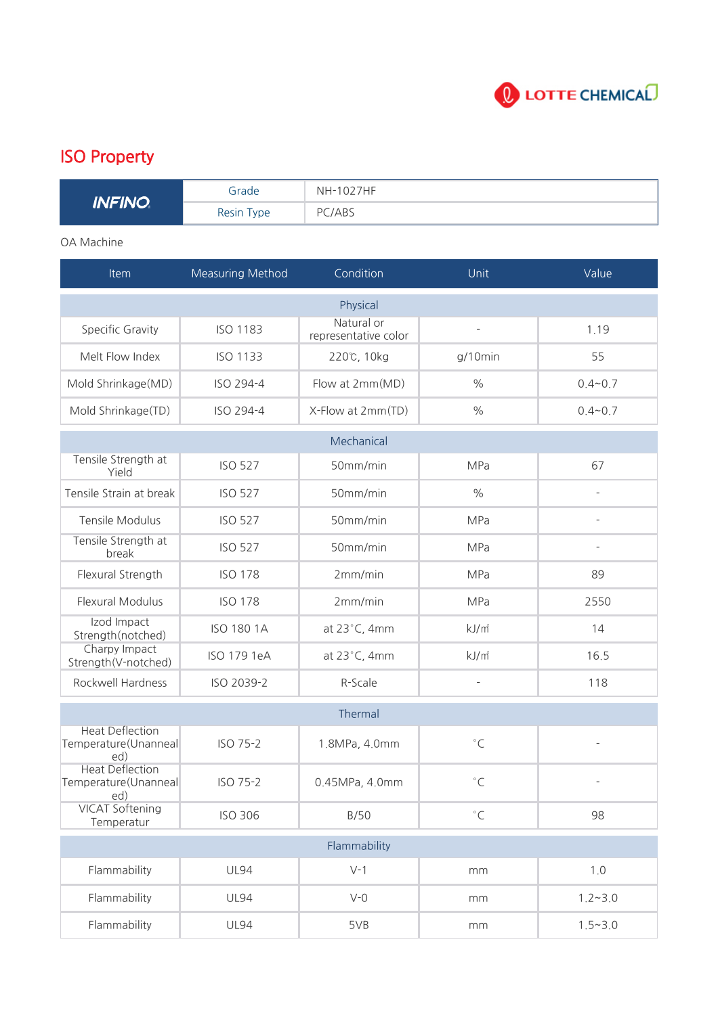

## ISO Property

| <b>INFINO</b> | Grade      | NH-1027HF |
|---------------|------------|-----------|
|               | Resin Type | PC/ABS    |

## OA Machine

| Item                                                  | <b>Measuring Method</b> | Condition                          | Unit                     | Value                    |  |  |
|-------------------------------------------------------|-------------------------|------------------------------------|--------------------------|--------------------------|--|--|
| Physical                                              |                         |                                    |                          |                          |  |  |
| Specific Gravity                                      | <b>ISO 1183</b>         | Natural or<br>representative color |                          | 1.19                     |  |  |
| Melt Flow Index                                       | <b>ISO 1133</b>         | 220℃, 10kg                         | $g/10$ min               | 55                       |  |  |
| Mold Shrinkage(MD)                                    | ISO 294-4               | Flow at 2mm(MD)                    | $\frac{0}{0}$            | $0.4 - 0.7$              |  |  |
| Mold Shrinkage(TD)                                    | ISO 294-4               | X-Flow at 2mm(TD)                  | $\frac{0}{0}$            | $0.4 - 0.7$              |  |  |
| Mechanical                                            |                         |                                    |                          |                          |  |  |
| Tensile Strength at<br>Yield                          | <b>ISO 527</b>          | 50mm/min                           | MPa                      | 67                       |  |  |
| Tensile Strain at break                               | <b>ISO 527</b>          | 50mm/min                           | $\frac{0}{0}$            | $\overline{\phantom{a}}$ |  |  |
| <b>Tensile Modulus</b>                                | <b>ISO 527</b>          | 50mm/min                           | MPa                      | $\overline{\phantom{m}}$ |  |  |
| Tensile Strength at<br>break                          | <b>ISO 527</b>          | 50mm/min                           | <b>MPa</b>               | $\overline{\phantom{a}}$ |  |  |
| Flexural Strength                                     | <b>ISO 178</b>          | 2mm/min                            | <b>MPa</b>               | 89                       |  |  |
| <b>Flexural Modulus</b>                               | <b>ISO 178</b>          | 2mm/min                            | MPa                      | 2550                     |  |  |
| Izod Impact<br>Strength(notched)                      | <b>ISO 180 1A</b>       | at 23°C, 4mm                       | kJ/m <sup>2</sup>        | 14                       |  |  |
| Charpy Impact<br>Strength(V-notched)                  | ISO 179 1eA             | at 23°C, 4mm                       | kJ/m <sup>2</sup>        | 16.5                     |  |  |
| Rockwell Hardness                                     | ISO 2039-2              | R-Scale                            | $\overline{\phantom{a}}$ | 118                      |  |  |
| Thermal                                               |                         |                                    |                          |                          |  |  |
| <b>Heat Deflection</b><br>Temperature(Unanneal<br>ed) | ISO 75-2                | 1.8MPa, 4.0mm                      | $^{\circ}$ C             |                          |  |  |
| <b>Heat Deflection</b><br>Temperature(Unanneal<br>ed) | ISO 75-2                | 0.45MPa, 4.0mm                     | $^{\circ}$ C             |                          |  |  |
| <b>VICAT Softening</b><br>Temperatur                  | <b>ISO 306</b>          | B/50                               | $^{\circ}$ C             | 98                       |  |  |
| Flammability                                          |                         |                                    |                          |                          |  |  |
| Flammability                                          | <b>UL94</b>             | $V-1$                              | mm                       | 1.0                      |  |  |
| Flammability                                          | <b>UL94</b>             | $V-0$                              | mm                       | $1.2 - 3.0$              |  |  |
| Flammability                                          | <b>UL94</b>             | 5VB                                | mm                       | $1.5 - 3.0$              |  |  |